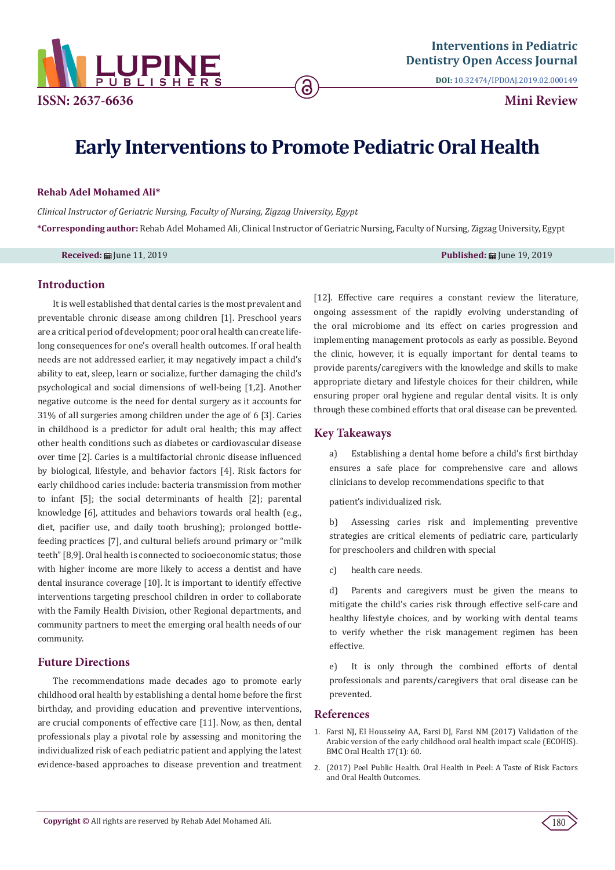

**DOI:** [10.32474/IPDOAJ.2019.02.000149](http://dx.doi.org/10.32474/IPDOAJ.2019.02.000149)

# **Early Interventions to Promote Pediatric Oral Health**

ခ

#### **Rehab Adel Mohamed Ali\***

*Clinical Instructor of Geriatric Nursing, Faculty of Nursing, Zigzag University, Egypt* **\*Corresponding author:** Rehab Adel Mohamed Ali, Clinical Instructor of Geriatric Nursing, Faculty of Nursing, Zigzag University, Egypt

**Received: Figure 11, 2019 Published: Figure 19, 2019 Published: Figure 19, 2019 Published: Figure 19, 2019** 

#### **Introduction**

It is well established that dental caries is the most prevalent and preventable chronic disease among children [1]. Preschool years are a critical period of development; poor oral health can create lifelong consequences for one's overall health outcomes. If oral health needs are not addressed earlier, it may negatively impact a child's ability to eat, sleep, learn or socialize, further damaging the child's psychological and social dimensions of well-being [1,2]. Another negative outcome is the need for dental surgery as it accounts for 31% of all surgeries among children under the age of 6 [3]. Caries in childhood is a predictor for adult oral health; this may affect other health conditions such as diabetes or cardiovascular disease over time [2]. Caries is a multifactorial chronic disease influenced by biological, lifestyle, and behavior factors [4]. Risk factors for early childhood caries include: bacteria transmission from mother to infant [5]; the social determinants of health [2]; parental knowledge [6], attitudes and behaviors towards oral health (e.g., diet, pacifier use, and daily tooth brushing); prolonged bottlefeeding practices [7], and cultural beliefs around primary or "milk teeth" [8,9]. Oral health is connected to socioeconomic status; those with higher income are more likely to access a dentist and have dental insurance coverage [10]. It is important to identify effective interventions targeting preschool children in order to collaborate with the Family Health Division, other Regional departments, and community partners to meet the emerging oral health needs of our community.

# **Future Directions**

The recommendations made decades ago to promote early childhood oral health by establishing a dental home before the first birthday, and providing education and preventive interventions, are crucial components of effective care [11]. Now, as then, dental professionals play a pivotal role by assessing and monitoring the individualized risk of each pediatric patient and applying the latest evidence-based approaches to disease prevention and treatment

[12]. Effective care requires a constant review the literature, ongoing assessment of the rapidly evolving understanding of the oral microbiome and its effect on caries progression and implementing management protocols as early as possible. Beyond the clinic, however, it is equally important for dental teams to provide parents/caregivers with the knowledge and skills to make appropriate dietary and lifestyle choices for their children, while ensuring proper oral hygiene and regular dental visits. It is only through these combined efforts that oral disease can be prevented.

## **Key Takeaways**

a) Establishing a dental home before a child's first birthday ensures a safe place for comprehensive care and allows clinicians to develop recommendations specific to that

patient's individualized risk.

b) Assessing caries risk and implementing preventive strategies are critical elements of pediatric care, particularly for preschoolers and children with special

c) health care needs.

d) Parents and caregivers must be given the means to mitigate the child's caries risk through effective self-care and healthy lifestyle choices, and by working with dental teams to verify whether the risk management regimen has been effective.

e) It is only through the combined efforts of dental professionals and parents/caregivers that oral disease can be prevented.

### **References**

- 1. [Farsi NJ, El Housseiny AA, Farsi DJ, Farsi NM \(2017\) Validation of the](https://www.ncbi.nlm.nih.gov/pubmed/28245876)  [Arabic version of the early childhood oral health impact scale \(ECOHIS\).](https://www.ncbi.nlm.nih.gov/pubmed/28245876)  [BMC Oral Health 17\(1\): 60.](https://www.ncbi.nlm.nih.gov/pubmed/28245876)
- 2. [\(2017\) Peel Public Health. Oral Health in Peel: A Taste of Risk Factors](https://www.peelregion.ca/health/resources/pdf/2017-oral-health-report.pdf)  [and Oral Health Outcomes.](https://www.peelregion.ca/health/resources/pdf/2017-oral-health-report.pdf)